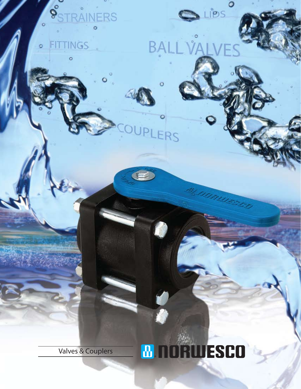## BA

Ö

ERS

 $\circ$ 

LIPS

Valves & Couplers

 $\delta$ 

 $\circ$ 

۰

**INERS** 

ö

**INGS** 

## **B NORWESCO**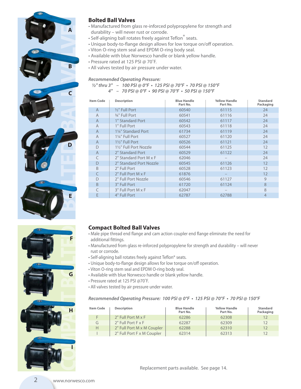







#### **Bolted Ball Valves**

- Manufactured from glass re-inforced polypropylene for strength and durability – will never rust or corrode.
- Self-aligning ball rotates freely against Teflon<sup>®</sup> seats.
- Unique body-to-flange design allows for low torque on/off operation.
- Viton O-ring stem seal and EPDM O-ring body seal.
- Available with blue Norwesco handle or blank yellow handle.
- Pressure rated at 125 PSI @ 70˚F.
- All valves tested by air pressure under water.

#### *Recommended Operating Pressure:*

#### *½***" thru 3" – 100 PSI @ 0°F • 125 PSI @ 70°F • 70 PSI @ 150°F 4" – 70 PSI @ 0°F • 90 PSI @ 70°F • 50 PSI @ 150°F**

| Item Code      | <b>Description</b>                  | <b>Blue Handle</b><br>Part No. | <b>Yellow Handle</b><br>Part No. | Standard<br>Packaging |
|----------------|-------------------------------------|--------------------------------|----------------------------------|-----------------------|
| $\mathsf{A}$   | 1/ <sub>2</sub> " Full Port         | 60540                          | 61115                            | 24                    |
| $\overline{A}$ | 3/4" Full Port                      | 60541                          | 61116                            | 24                    |
| $\overline{A}$ | 1" Standard Port                    | 60542                          | 61117                            | 24                    |
| $\overline{A}$ | 1" Full Port                        | 60543                          | 61118                            | 24                    |
| A              | 11/4" Standard Port                 | 61734                          | 61119                            | 24                    |
| A              | 11/4" Full Port                     | 60527                          | 61120                            | 24                    |
| $\overline{A}$ | 11/2" Full Port                     | 60526                          | 61121                            | 24                    |
| D              | 11/ <sub>2</sub> " Full Port Nozzle | 60544                          | 61125                            | 12                    |
| $\overline{A}$ | 2" Standard Port                    | 60529                          | 61122                            | 24                    |
| C              | 2" Standard Port M x F              | 62046                          |                                  | 24                    |
| D              | 2" Standard Port Nozzle             | 60545                          | 61126                            | 12                    |
| <sub>R</sub>   | 2" Full Port                        | 60528                          | 61123                            | 12                    |
|                | 2" Full Port M x F                  | 61876                          |                                  | 12                    |
| D              | 2" Full Port Nozzle                 | 60546                          | 61127                            | 9                     |
| <sub>B</sub>   | 3" Full Port                        | 61720                          | 61124                            | 8                     |
|                | 3" Full Port M x F                  | 62047                          |                                  | 8                     |
| F              | 4" Full Port                        | 62787                          | 62788                            | $\overline{4}$        |

#### **Compact Bolted Ball Valves**

- Male pipe thread end flange and cam action coupler end flange eliminate the need for additional fittings.
- Manufactured from glass re-inforced polypropylene for strength and durability will never rust or corrode.
- Self-aligning ball rotates freely against Teflon® seats.
- Unique body-to-flange design allows for low torque on/off operation.
- Viton O-ring stem seal and EPDM O-ring body seal.
- Available with blue Norwesco handle or blank yellow handle.
- Pressure rated at 125 PSI @70˚F.
- All valves tested by air pressure under water.

#### **Recommended Operating Pressure: 100 PSI @ 0°F • 125 PSI @ 70°F • 70 PSI @ 150°F**

| <b>Item Code</b> | <b>Description</b>          | <b>Blue Handle</b><br>Part No. | <b>Yellow Handle</b><br>Part No. | <b>Standard</b><br>Packaging |
|------------------|-----------------------------|--------------------------------|----------------------------------|------------------------------|
| F.               | $2"$ Full Port M $\times$ F | 62286                          | 62308                            | 12                           |
| G                | 2" Full Port F x F          | 62287                          | 62309                            | 12                           |
| Н                | 2" Full Port M x M Coupler  | 62288                          | 62310                            | 12                           |
|                  | 2" Full Port F x M Coupler  | 62314                          | 62313                            | 12                           |

Replacement parts available. See page 14.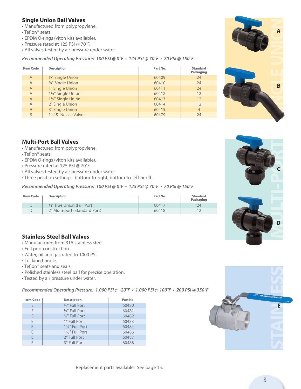#### **Single Union Ball Valves**

- Manufactured from polypropylene.
- Teflon® seats.
- EPDM O-rings (viton kits available).
- Pressure rated at 125 PSI @ 70˚F.
- All valves tested by air pressure under water.

**Recommended Operating Pressure: 100 PSI @ 0°F • 125 PSI @ 70°F • 70 PSI @ 150°F**

| <b>Item Code</b> | <b>Description</b>   | Part No. | <b>Standard</b><br>Packaging |
|------------------|----------------------|----------|------------------------------|
| $\overline{A}$   | $1/2$ " Single Union | 60409    | 24                           |
| $\overline{A}$   | 3/4" Single Union    | 60410    | 24                           |
| $\overline{A}$   | 1" Single Union      | 60411    | 24                           |
| $\overline{A}$   | 11/4" Single Union   | 60412    | 12                           |
| $\overline{A}$   | 11/2" Single Union   | 60413    | 12                           |
| $\overline{A}$   | 2" Single Union      | 60414    | 12                           |
| $\overline{A}$   | 3" Single Union      | 60415    | $\overline{4}$               |
| B                | 1" 45° Nozzle Valve  | 60479    | 24                           |

# **SINGLE UNION** B

#### **Multi-Port Ball Valves**

- Manufactured from polypropylene.
- Teflon® seats.
- EPDM O-rings (viton kits available).
- Pressure rated at 125 PSI @ 70˚F.
- All valves tested by air pressure under water.
- Three position settings: bottom-to-right, bottom-to-left or off.

**Recommended Operating Pressure: 100 PSI @ 0°F • 125 PSI @ 70°F • 70 PSI @ 150°F**

| <b>Item Code</b> | <b>Description</b>                     | Part No. | <b>Standard</b><br>Packaging |
|------------------|----------------------------------------|----------|------------------------------|
|                  | <sup>3/4"</sup> True Union (Full Port) | 60417    | 24                           |
|                  | 2" Multi-port (Standard Port)          | 60418    |                              |

#### **Stainless Steel Ball Valves**

- Manufactured from 316 stainless steel.
- Full port construction.
- Water, oil and gas rated to 1000 PSI.
- Locking handle.
- Teflon® seats and seals.
- Polished stainless steel ball for precise operation.
- Tested by air pressure under water.

**Recommended Operating Pressure: 1,000 PSI @ -20°F • 1,000 PSI @ 100°F • 200 PSI @ 350°F**

| <b>Item Code</b> | <b>Description</b>          | Part No. |
|------------------|-----------------------------|----------|
| Е                | 3/8" Full Port              | 60480    |
| E                | 1/ <sub>2</sub> " Full Port | 60481    |
| E                | 3/4" Full Port              | 60482    |
| E                | 1" Full Port                | 60483    |
| E                | 11/4" Full Port             | 60484    |
| E                | 11/2" Full Port             | 60485    |
| E                | 2" Full Port                | 60487    |
| F                | 3" Full Port                | 60488    |





3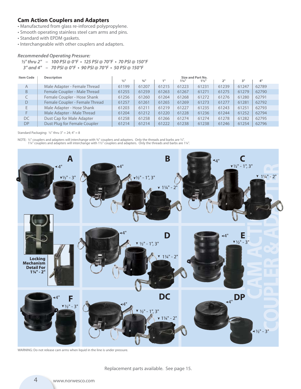#### **Cam Action Couplers and Adapters**

- Manufactured from glass re-inforced polypropylene.
- Smooth operating stainless steel cam arms and pins.
- Standard with EPDM gaskets.
- Interchangeable with other couplers and adapters.

#### *Recommended Operating Pressure:*

```
½" thru 2" – 100 PSI @ 0°F • 125 PSI @ 70°F • 70 PSI @ 150°F
3" and 4" – 70 PSI @ 0°F • 90 PSI @ 70°F • 50 PSI @ 150°F
```

| <b>Item Code</b> | <b>Description</b>             | Size and Part No.           |                     |       |                  |                  |       |       |       |
|------------------|--------------------------------|-----------------------------|---------------------|-------|------------------|------------------|-------|-------|-------|
|                  |                                | $\frac{1}{2}$ <sup>11</sup> | $3/4$ <sup>11</sup> | 1"    | $1\frac{1}{4}$ " | $1\frac{1}{2}$ " | 2"    | 3"    | 4"    |
| $\overline{A}$   | Male Adapter - Female Thread   | 61199                       | 61207               | 61215 | 61223            | 61231            | 61239 | 61247 | 62789 |
| B                | Female Coupler - Male Thread   | 61255                       | 61259               | 61263 | 61267            | 61271            | 61275 | 61279 | 62790 |
|                  | Female Coupler - Hose Shank    | 61256                       | 61260               | 61264 | 61268            | 61272            | 61276 | 61280 | 62791 |
| D                | Female Coupler - Female Thread | 61257                       | 61261               | 61265 | 61269            | 61273            | 61277 | 61281 | 62792 |
| E                | Male Adapter - Hose Shank      | 61203                       | 61211               | 61219 | 61227            | 61235            | 61243 | 61251 | 62793 |
| F                | Male Adapter - Male Thread     | 61204                       | 61212               | 61220 | 61228            | 61236            | 61244 | 61252 | 62794 |
| DC               | Dust Cap for Male Adapter      | 61258                       | 61258               | 61266 | 61274            | 61274            | 61278 | 61282 | 62795 |
| <b>DP</b>        | Dust Plug for Female Coupler   | 61214                       | 61214               | 61222 | 61238            | 61238            | 61246 | 61254 | 62796 |

#### Standard Packaging: ½" thru 3" = 24; 4" = 8

NOTE: ½" couplers and adapters will interchange with ¾" couplers and adapters. Only the threads and barbs are ½". 1¼" couplers and adapters will interchange with 1½" couplers and adapters. Only the threads and barbs are 1¼".



WARNING: Do not release cam arms when liquid in the line is under pressure.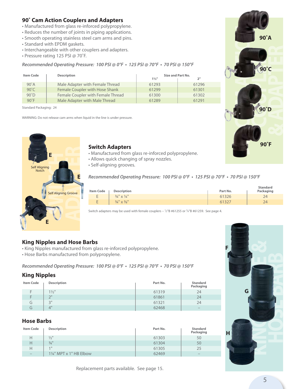#### **90˚ Cam Action Couplers and Adapters**

- Manufactured from glass re-inforced polypropylene.
- Reduces the number of joints in piping applications.
- Smooth operating stainless steel cam arms and pins.
- Standard with EPDM gaskets.
- Interchangeable with other couplers and adapters.
- Pressure rating 125 PSI @ 70˚F.

#### **Recommended Operating Pressure: 100 PSI @ 0°F • 125 PSI @ 70°F • 70 PSI @ 150°F**

| <b>Item Code</b> | <b>Description</b>                |                | Size and Part No. |  |  |
|------------------|-----------------------------------|----------------|-------------------|--|--|
|                  |                                   | $1\frac{1}{2}$ | 2"                |  |  |
| $90^\circ A$     | Male Adapter with Female Thread   | 61293          | 61296             |  |  |
| $90^{\circ}$ C   | Female Coupler with Hose Shank    | 61299          | 61301             |  |  |
| 90°D             | Female Coupler with Female Thread | 61300          | 61302             |  |  |
| $90^\circ F$     | Male Adapter with Male Thread     | 61289          | 61291             |  |  |

Standard Packaging: 24

WARNING: Do not release cam arms when liquid in the line is under pressure.



#### **Switch Adapters**

- Manufactured from glass re-inforced polypropylene.
- Allows quick changing of spray nozzles.
- Self-aligning grooves.

#### **Recommended Operating Pressure: 100 PSI @ 0°F • 125 PSI @ 70°F • 70 PSI @ 150°F**

| <b>Item Code</b>                                           | <b>Description</b>                | Part No. | <b>Standard</b><br>Packaging |
|------------------------------------------------------------|-----------------------------------|----------|------------------------------|
| E.                                                         | $\frac{3}{4}$ " x $\frac{1}{4}$ " | 61326    | 24                           |
| $\overline{\phantom{a}}$<br>ъ.<br>$\overline{\phantom{a}}$ | $\frac{3}{4}$ " x $\frac{3}{8}$ " | 61327    | 24                           |

Switch adapters may be used with female couplers  $-$  1/2"B #61255 or  $\frac{3}{4}$ "B #61259. See page 4.

#### **King Nipples and Hose Barbs**

- King Nipples manufactured from glass re-inforced polypropylene.
- Hose Barbs manufactured from polypropylene.

**Recommended Operating Pressure: 100 PSI @ 0°F • 125 PSI @ 70°F • 70 PSI @ 150°F**

#### **King Nipples**

| <b>Item Code</b> | <b>Description</b> | Part No. | <b>Standard</b><br>Packaging |
|------------------|--------------------|----------|------------------------------|
| F                | $1\frac{1}{2}$ "   | 61319    | 24                           |
| F                | $\bigcap$          | 61861    | 24                           |
| G                | 2"                 | 61321    | 24                           |
| ί٦.              | 4"                 | 62468    | $-$                          |

#### **Hose Barbs**

| <b>Item Code</b> | <b>Description</b>      | Part No. | <b>Standard</b><br>Packaging |
|------------------|-------------------------|----------|------------------------------|
| Н                | $\frac{1}{2}$ "         | 61303    | 50                           |
| Н                | $3/4$ <sup>11</sup>     | 61304    | 50                           |
| Н                | $1$ II                  | 61305    | 25                           |
| $-$              | 11/4" MPT x 1" HB Elbow | 62469    | $-$                          |





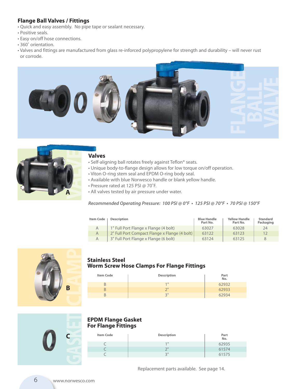#### **Flange Ball Valves / Fittings**

- Quick and easy assembly. No pipe tape or sealant necessary.
- Positive seals.
- Easy on/off hose connections.
- 360˚ orientation.
- Valves and fittings are manufactured from glass re-inforced polypropylene for strength and durability will never rust or corrode.





#### **Valves**

- Self-aligning ball rotates freely against Teflon® seats.
- Unique body-to-flange design allows for low torque on/off operation.
	- Viton O-ring stem seal and EPDM O-ring body seal.
	- Available with blue Norwesco handle or blank yellow handle.
	- Pressure rated at 125 PSI @ 70˚F.
	- All valves tested by air pressure under water.

#### **Recommended Operating Pressure: 100 PSI @ 0°F • 125 PSI @ 70°F • 70 PSI @ 150°F**

| Item Code | <b>Description</b>                            | <b>Blue Handle</b><br>Part No. | <b>Yellow Handle</b><br>Part No. | <b>Standard</b><br>Packaging |
|-----------|-----------------------------------------------|--------------------------------|----------------------------------|------------------------------|
| A         | 1" Full Port Flange x Flange (4 bolt)         | 63027                          | 63028                            | 24                           |
|           | 2" Full Port Compact Flange x Flange (4 bolt) | 63122                          | 63123                            | 12                           |
|           | 3" Full Port Flange x Flange (6 bolt)         | 63124                          | 63125                            | 8                            |



#### **Stainless Steel Worm Screw Hose Clamps For Flange Fittings**

| <b>Item Code</b> | <b>Description</b> | Part<br>No. |
|------------------|--------------------|-------------|
|                  | 1 <sup>H</sup>     | 62932       |
|                  | $2^{\prime\prime}$ | 62933       |
|                  | 2"                 | 62934       |

#### **EPDM Flange Gasket For Flange Fittings**

| <b>Item Code</b> | <b>Description</b> | Part<br>No. |
|------------------|--------------------|-------------|
|                  | $1$ II             | 62935       |
|                  | $\neg$ II          | 61574       |
|                  | 2"<br>است.         | 61575       |

Replacement parts available. See page 14.

**GASKET**

**C**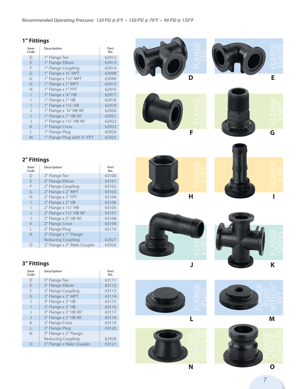#### **1" Fittings**

| Item<br>Code | <b>Description</b>           | Part<br>No. |
|--------------|------------------------------|-------------|
| D            | 1" Flange Tee                | 62912       |
| F            | 1" Flange Elbow              | 62913       |
| F            | 1" Flange Coupling           | 62914       |
| G            | 1" Flange x 3/4" MPT         | 63098       |
| G            | 1" Flange x 11/4" MPT        | 63099       |
| G            | 1" Flange x 1" MPT           | 62915       |
| H            | 1" Flange x 1" FPT           | 62916       |
|              | 1" Flange x 3/4" HB          | 62917       |
|              | 1" Flange x 1" HB            | 62918       |
|              | 1" Flange x 11/4" HB         | 62919       |
| $\mathsf{I}$ | 1" Flange x 3/4" HB 90°      | 62920       |
| J            | 1" Flange x 1" HB 90°        | 62921       |
| $\mathbf{I}$ | 1" Flange x 11/4" HB 90°     | 62922       |
| K            | 1" Flange Cross              | 62923       |
| L            | 1" Flange Plug               | 62924       |
| M            | 1" Flange Plug with 1/4" FPT | 62925       |









#### **2" Fittings**

| Item<br>Code | <b>Description</b>          | Part<br>No. |
|--------------|-----------------------------|-------------|
| D            | 2" Flange Tee               | 63100       |
| E            | 2" Flange Elbow             | 63101       |
| F            | 2" Flange Coupling          | 63102       |
| G            | 2" Flange x 2" MPT          | 63103       |
| Н            | 2" Flange x 2" FPT          | 63104       |
|              | 2" Flange x 2" HB           | 63106       |
|              | 2" Flange x 11/2" HB        | 63105       |
| J            | 2" Flange x 11/2" HB 90°    | 63107       |
| $\mathbf{I}$ | 2" Flange x 2" HB 90°       | 63108       |
| K            | 2" Flange Cross             | 63109       |
| L            | 2" Flange Plug              | 63110       |
| $\mathsf{N}$ | 2" Flange x 1" Flange       |             |
|              | <b>Reducing Coupling</b>    | 62927       |
| ∩            | 2" Flange x 2" Male Coupler | 62926       |

#### **3" Fittings**

| Item<br>Code | <b>Description</b>       | Part<br>No. |
|--------------|--------------------------|-------------|
| D            | 3" Flange Tee            | 63111       |
| F            | 3" Flange Elbow          | 63112       |
| F            | 3" Flange Coupling       | 63113       |
| G            | 3" Flange x 3" MPT       | 63114       |
|              | 3" Flange x 2" HB        | 63115       |
|              | 3" Flange x 3" HB        | 63116       |
| J            | 3" Flange x 2" HB 90°    | 63117       |
| $\mathsf{I}$ | 3" Flange x 3" HB 90°    | 63118       |
| K            | 3" Flange Cross          | 63119       |
| L            | 3" Flange Plug           | 63120       |
| N            | 3" Flange x 2" Flange    |             |
|              | <b>Reducing Coupling</b> | 62928       |
|              | 3" Flange x Male Coupler | 63121       |















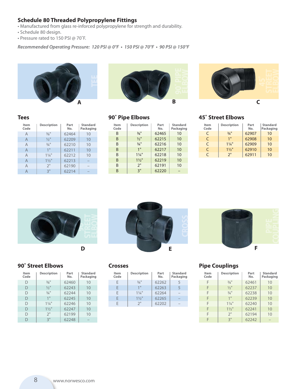#### **Schedule 80 Threaded Polypropylene Fittings**

- Manufactured from glass re-inforced polypropylene for strength and durability.
- Schedule 80 design.
- Pressure rated to 150 PSI @ 70˚F.

**Recommended Operating Pressure: 120 PSI @ 0°F • 150 PSI @ 70°F • 90 PSI @ 150°F**







#### **Tees**

| Item<br>Code   | <b>Description</b>  | Part<br>No. | <b>Standard</b><br>Packaging |
|----------------|---------------------|-------------|------------------------------|
| A              | $3/8$ <sup>11</sup> | 62464       | 10                           |
| $\overline{A}$ | $\frac{1}{2}$ "     | 62209       | 10                           |
| $\overline{A}$ | $\frac{3}{4}$ "     | 62210       | 10                           |
| $\overline{A}$ | 1 <sup>II</sup>     | 62211       | 10                           |
| A              | $1\frac{1}{4}$      | 62212       | 10                           |
| A              | $1\frac{1}{2}$      | 62213       | _                            |
| A              | 2"                  | 62190       | _                            |
| Д              | 3"                  | 62214       |                              |

#### **90˚ Pipe Elbows**

| Item<br>Code | <b>Description</b>  | Part<br>No. | <b>Standard</b><br>Packaging |
|--------------|---------------------|-------------|------------------------------|
| B            | $\frac{3}{8}$ "     | 62465       | 10                           |
| B            | $\frac{1}{2}$ "     | 62215       | 10                           |
| <sub>R</sub> | $3/4$ <sup>11</sup> | 62216       | 10                           |
| B            | 1"                  | 62217       | 10                           |
| B            | $1\frac{1}{4}$      | 62218       | 10                           |
| B            | $1\frac{1}{2}$      | 62219       | 10                           |
| B            | 2"                  | 62191       | 10                           |
| R            | 3"                  | 62220       |                              |
|              |                     |             |                              |

#### **45˚ Street Elbows**

| Item<br>Code | <b>Description</b> | Part<br>No. | <b>Standard</b><br>Packaging |
|--------------|--------------------|-------------|------------------------------|
| C            | $\frac{3}{4}$ "    | 62907       | 10                           |
| C            | 1"                 | 62908       | 10                           |
| C            | $1\frac{1}{4}$     | 62909       | 10                           |
| $\subset$    | $1\frac{1}{2}$     | 62910       | 10                           |
| C            | 2"                 | 62911       | 10                           |





| Item<br>Code | <b>Description</b>          | Part<br>No. | <b>Standard</b><br>Packaging |
|--------------|-----------------------------|-------------|------------------------------|
| D            | $\frac{3}{8}$ <sup>11</sup> | 62460       | 10                           |
| D            | $\frac{1}{2}$ "             | 62243       | 10                           |
| D            | $3/4$ <sup>11</sup>         | 62244       | 10                           |
| D            | 1"                          | 62245       | 10                           |
| D            | $1\frac{1}{4}$              | 62246       | 10                           |
| D            | $1\frac{1}{2}$ "            | 62247       | 10                           |
| D            | 2"                          | 62199       | 10                           |
| D            | 3"                          | 62248       |                              |

#### **Crosses**

| Item<br>Code | <b>Description</b> | Part<br>No. | Standard<br>Packaging |
|--------------|--------------------|-------------|-----------------------|
| F            | $\frac{3}{4}$ "    | 62262       | 5                     |
| F            | 1 <sup>II</sup>    | 62263       | 5                     |
| F            | $1\frac{1}{4}$     | 62264       |                       |
| F            | $1\frac{1}{2}$ "   | 62265       | -                     |
| F            | 2"                 | 62202       |                       |
|              |                    |             |                       |



#### **Pipe Couplings**

| Item<br>Code | <b>Description</b>  | Part<br>No. | <b>Standard</b><br>Packaging |
|--------------|---------------------|-------------|------------------------------|
| F            | $3/8$ <sup>11</sup> | 62461       | 10                           |
| F            | $1/2$ <sup>11</sup> | 62237       | 10                           |
| F            | $\frac{3}{4}$ "     | 62238       | 10                           |
| F            | 1"                  | 62239       | 10                           |
| F            | $1\frac{1}{4}$      | 62240       | 10                           |
| F            | $1\frac{1}{2}$      | 62241       | 10                           |
| F            | 2"                  | 62194       | 10                           |
|              | 3"                  | 62242       |                              |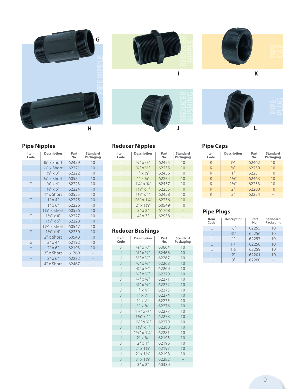







#### **Pipe Nipples**

| Item<br>Code | <b>Description</b>       | Part<br>No. | <b>Standard</b><br>Packaging |
|--------------|--------------------------|-------------|------------------------------|
|              | 3%" x Short              | 62459       | 10                           |
|              | $\frac{1}{2}$ " x Short  | 62221       | 10                           |
|              | $1/2$ " x 3"             | 62222       | 10                           |
|              | 3/4" x Short             | 60554       | 10                           |
| G            | $3/4$ " $\times$ 4"      | 62223       | 10                           |
| Н            | $3/4$ " x 6"             | 62224       | 10                           |
|              | 1" x Short               | 60555       | 10                           |
| G            | $1" \times 4"$           | 62225       | 10                           |
| Н            | $1" \times 6"$           | 62226       | 10                           |
|              | 11/4" x Short            | 60556       | 10                           |
| G            | $1\frac{1}{4}$ " x 4"    | 62227       | 10                           |
| Н            | $1\frac{1}{4}$ " x 6"    | 62228       | 10                           |
|              | $1\frac{1}{2}$ " x Short | 60547       | 10                           |
| G            | $1\frac{1}{2}$ " x 6"    | 62230       | 10                           |
|              | 2" x Short               | 60548       | 10                           |
| G            | $2" \times 4"$           | 62192       | 10                           |
| Н            | $2" \times 6"$           | 62193       | 10                           |
|              | 3" x Short               | 61769       |                              |
| Н            | $3" \times 6"$           | 62232       |                              |
|              | 4" x Short               | 62467       |                              |

#### **Reducer Nipples**

| ltem<br>Code | <b>Description</b>                  | Part<br>No. | <b>Standard</b><br>Packaging |
|--------------|-------------------------------------|-------------|------------------------------|
|              | $\frac{1}{9}$ " x $\frac{3}{8}$ "   | 62455       | 10                           |
|              | $\frac{3}{4}$ " x $\frac{1}{2}$ "   | 62233       | 10                           |
|              | $1'' \times \frac{1}{2}$            | 62456       | 10                           |
|              | $1'' \times 3/4''$                  | 62234       | 10                           |
|              | $1\frac{1}{4}$ " x $\frac{3}{4}$ "  | 62457       | 10                           |
|              | $1\frac{1}{4}$ " x 1"               | 62235       | 10                           |
|              | $1\frac{1}{2}$ " x 1"               | 62458       | 10                           |
|              | $1\frac{1}{2}$ " x $1\frac{1}{4}$ " | 62236       | 10                           |
|              | $2"$ x $1\frac{1}{2}$               | 60549       | 10                           |
|              | $3" \times 2"$                      | 61768       |                              |
|              | $4" \times 3"$                      | 62938       |                              |

#### **Reducer Bushings**

| Item<br>Code             | <b>Description</b>                  | Part<br>No. | <b>Standard</b><br>Packaging |
|--------------------------|-------------------------------------|-------------|------------------------------|
| J                        | $\frac{3}{8}$ " x $\frac{1}{8}$ "   | 63604       | 10                           |
| J                        | $\frac{3}{8}$ " x $\frac{1}{4}$ "   | 62466       | 10                           |
| J                        | $\frac{1}{2}$ " x $\frac{1}{4}$ "   | 62267       | 10                           |
| J                        | $\frac{1}{2}$ " x $\frac{3}{8}$ "   | 62268       | 10                           |
| J                        | $\frac{3}{4}$ " x $\frac{1}{8}$ "   | 62269       | 10                           |
| J                        | $\frac{3}{4}$ " x $\frac{1}{4}$ "   | 62270       | 10                           |
| $\overline{\phantom{a}}$ | $3/4$ " $\times 3/8$ "              | 62271       | 10                           |
| J                        | $\frac{3}{4}$ " x 1/2"              | 62272       | 10                           |
| J                        | $1'' \times \frac{1}{8}''$          | 62273       | 10                           |
| J                        | $1'' \times \frac{1}{4}''$          | 62274       | 10                           |
| J                        | $1'' \times \frac{1}{2}''$          | 62275       | 10                           |
| J                        | $1'' \times \frac{3}{4}''$          | 62276       | 10                           |
| J                        | $1\frac{1}{4}$ " x $\frac{3}{4}$ "  | 62277       | 10                           |
| J                        | $1\frac{1}{4}$ " x 1"               | 62278       | 10                           |
| J                        | $1\frac{1}{2}$ " x $\frac{3}{4}$ "  | 62279       | 10                           |
| J                        | $1\frac{1}{2}$ " x 1"               | 62280       | 10                           |
| $\overline{\phantom{a}}$ | $1\frac{1}{2}$ " x $1\frac{1}{4}$ " | 62281       | 10                           |
| J                        | $2" \times \frac{3}{4}$ "           | 62195       | 10                           |
| $\overline{\phantom{a}}$ | $2" \times 1"$                      | 62196       | 10                           |
| J                        | $2" \times 1\frac{1}{4"$            | 62197       | 10                           |
| J                        | $2" \times 1\frac{1}{2}$            | 62198       | 10                           |
| J                        | $3'' \times 1\frac{1}{2}$           | 62282       |                              |
| J                        | $3" \times 2"$                      | 60330       |                              |

#### **Pipe Caps**

| Item<br>Code | <b>Description</b>  | Part<br>No. | <b>Standard</b><br>Packaging |
|--------------|---------------------|-------------|------------------------------|
| K            | $1/2$ <sup>11</sup> | 62462       | 10                           |
| K            | $3/4$ <sup>11</sup> | 62250       | 10                           |
| K            | 1 <sup>11</sup>     | 62251       | 10                           |
| K            | $1\frac{1}{4}$      | 62463       | 10                           |
| K            | $1\frac{1}{2}$ "    | 62253       | 10                           |
| Κ            | 2"                  | 62200       | 10                           |
|              | 3"                  | 62254       |                              |

### **Pipe Plugs**

| Item<br>Code | <b>Description</b>          | Part<br>No. | <b>Standard</b><br>Packaging |
|--------------|-----------------------------|-------------|------------------------------|
|              | $\frac{1}{2}$ <sup>11</sup> | 62255       | 10                           |
|              | $3/4$ <sup>11</sup>         | 62256       | 10                           |
|              | 1 <sup>II</sup>             | 62257       | 10                           |
|              | $1\frac{1}{4}$              | 62258       | 10                           |
|              | $1\frac{1}{2}$ "            | 62259       | 10                           |
|              | 2"                          | 62201       | 10                           |
|              | 3"                          | 62260       |                              |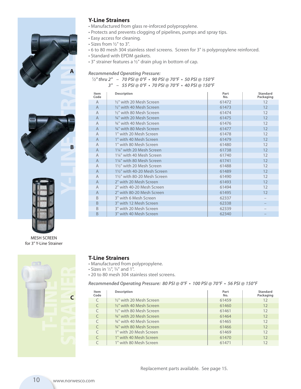



MESH SCREEN for 3" Y-Line Strainer



#### **Y-Line Strainers**

- Manufactured from glass re-inforced polypropylene.
- Protects and prevents clogging of pipelines, pumps and spray tips.
- Easy access for cleaning.
- Sizes from 1⁄2" to 3".
- 6 to 80 mesh 304 stainless steel screens. Screen for 3" is polypropylene reinforced.
- Standard with EPDM gaskets.
- 3" strainer features a 1⁄2" drain plug in bottom of cap.

*Recommended Operating Pressure: 1⁄***2" thru 2" – 70 PSI @ 0°F • 90 PSI @ 70°F • 50 PSI @ 150°F**

**3" – 55 PSI @ 0°F • 70 PSI @ 70°F • 40 PSI @ 150°F**

| <b>Description</b>                        | Part<br>No. | <b>Standard</b><br>Packaging |
|-------------------------------------------|-------------|------------------------------|
| 1/ <sub>2</sub> " with 20 Mesh Screen     | 61472       | 12                           |
| 1/ <sub>2</sub> " with 40 Mesh Screen     | 61473       | 12                           |
| 1/ <sub>2</sub> " with 80 Mesh Screen     | 61474       | 12                           |
| 34" with 20 Mesh Screen                   | 61475       | 12                           |
| 34" with 40 Mesh Screen                   | 61476       | 12                           |
| 3/4" with 80 Mesh Screen                  | 61477       | 12                           |
| 1" with 20 Mesh Screen                    | 61478       | 12                           |
| 1" with 40 Mesh Screen                    | 61479       | 12                           |
| 1" with 80 Mesh Screen                    | 61480       | 12                           |
| 11/4" with 20 Mesh Screen                 | 61738       | 12                           |
| 11/4" with 40 Mesh Screen                 | 61740       | 12                           |
| 11/4" with 80 Mesh Screen                 | 61741       | 12                           |
| 11/ <sub>2</sub> " with 20 Mesh Screen    | 61488       | 12                           |
| 11/2" with 40-20 Mesh Screen              | 61489       | 12                           |
| 11/ <sub>2</sub> " with 80-20 Mesh Screen | 61490       | 12                           |
| 2" with 20 Mesh Screen                    | 61493       | 12                           |
| 2" with 40-20 Mesh Screen                 | 61494       | 12                           |
| 2" with 80-20 Mesh Screen                 | 61495       | 12                           |
| 3" with 6 Mesh Screen                     | 62337       |                              |
| 3" with 12 Mesh Screen                    | 62338       |                              |
| 3" with 20 Mesh Screen                    | 62339       |                              |
| 3" with 40 Mesh Screen                    | 62340       |                              |
|                                           |             |                              |

- **T-Line Strainers**
- Manufactured from polypropylene.
- Sizes in  $\frac{1}{2}$ ,  $\frac{3}{4}$  and 1".
- 20 to 80 mesh 304 stainless steel screens.

**Recommended Operating Pressure: 80 PSI @ 0°F • 100 PSI @ 70°F • 56 PSI @ 150°F**

| Item<br>Code | <b>Description</b>                    | Part<br>No. | <b>Standard</b><br>Packaging |
|--------------|---------------------------------------|-------------|------------------------------|
|              | 1/ <sub>2</sub> " with 20 Mesh Screen | 61459       | $12 \overline{ }$            |
|              | $\frac{1}{2}$ " with 40 Mesh Screen   | 61460       | 12                           |
|              | 1/2" with 80 Mesh Screen              | 61461       | 12                           |
|              | 3/4" with 20 Mesh Screen              | 61464       | 12                           |
|              | 3/4" with 40 Mesh Screen              | 61465       | 12                           |
|              | <sup>3/4"</sup> with 80 Mesh Screen   | 61466       | 12                           |
|              | 1" with 20 Mesh Screen                | 61469       | 12                           |
|              | 1" with 40 Mesh Screen                | 61470       | 12                           |
|              | 1" with 80 Mesh Screen                | 61471       | 12                           |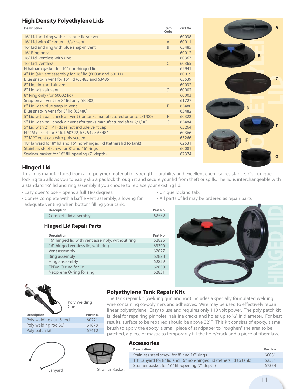#### **High Density Polyethylene Lids**

| <b>Description</b>                                                       | Item<br>Code | Part No. |
|--------------------------------------------------------------------------|--------------|----------|
| 16" Lid and ring with 4" center lid/air vent                             |              | 60038    |
| 16" Lid with 4" center lid/air vent                                      | A            | 60011    |
| 16" Lid and ring with blue snap-in vent                                  | <sub>R</sub> | 63485    |
| 16" Ring only                                                            |              | 60012    |
| 16" Lid, ventless with ring                                              |              | 60367    |
| 16" Lid, ventless                                                        | $\subset$    | 60365    |
| Ethafoam gasket for 16" non-hinged lid                                   |              | 62941    |
| 4" Lid (air vent assembly for 16" lid (60038 and 60011)                  |              | 60019    |
| Blue snap-in vent for 16" lid (63483 and 63485)                          |              | 63539    |
| 8" Lid, ring and air vent                                                |              | 60032    |
| 8" Lid with air vent                                                     | $\mathsf{D}$ | 60002    |
| 8" Ring only (for 60002 lid)                                             |              | 60003    |
| Snap on air vent for 8" lid only (60002)                                 |              | 61727    |
| 8" Lid with blue snap-in vent                                            | F            | 63480    |
| Blue snap-in vent for 8" lid (63480)                                     |              | 63482    |
| 5" Lid with ball check air vent (for tanks manufactured prior to 2/1/00) | F            | 60322    |
| 5" Lid with ball check air vent (for tanks manufactured after 2/1/00)    | G            | 63484    |
| 5" Lid with 2" FPT (does not include vent cap)                           |              | 63264    |
| EPDM gasket for 5" lid, 60322, 63264 or 63484                            |              | 60366    |
| 2" MPT vent cap with poly screen                                         |              | 63266    |
| 18" lanyard for 8" lid and 16" non-hinged lid (tethers lid to tank)      |              | 62531    |
| Stainless steel screw for 8" and 16" rings                               |              | 60081    |
| Strainer basket for 16" fill-opening (7" depth)                          |              | 67374    |



#### **Hinged Lid**

This lid is manufactured from a co-polymer material for strength, durability and excellent chemical resistance. Our unique locking tab allows you to easily slip a padlock through it and secure your lid from theft or spills. The lid is interchangeable with a standard 16" lid and ring assembly if you choose to replace your existing lid.

- Easy open/close opens a full 180 degrees.
- Comes complete with a baffle vent assembly, allowing for adequate venting when bottom filling your tank.
- Unique locking tab.
- All parts of lid may be ordered as repair parts

| VEHUILY WHEN DOLLOHI IIIIIIIY YOUL LAHK. |          |
|------------------------------------------|----------|
| <b>Description</b>                       | Part No. |
| Complete lid assembly                    | 62532    |
| Hinged Lid Repair Parts                  |          |

#### **Hinged Lid Repair Parts**

| <b>Description</b>                              | Part No. |
|-------------------------------------------------|----------|
| 16" hinged lid with vent assembly, without ring | 62826    |
| 16" hinged ventless lid, with ring              | 63390    |
| Vent assembly                                   | 62827    |
| Ring assembly                                   | 62828    |
| Hinge assembly                                  | 62829    |
| <b>EPDM O-ring for lid</b>                      | 62830    |
| Neoprene O-ring for ring                        | 62831    |





Poly welding rod 30' | 61879 Poly patch kit 67412

|  |  | <b>Polyethylene Tank Repair Kits</b> |  |
|--|--|--------------------------------------|--|
|  |  |                                      |  |

The tank repair kit (welding gun and rod) includes a specially formulated welding wire containing co-polymers and adhesives. Wire may be used to effectively repair linear polyethylene. Easy to use and requires only 110 volt power. The poly patch kit is ideal for repairing pinholes, hairline cracks and holes up to  $\frac{1}{2}$ " in diameter. For best results, surface to be repaired should be above 32˚F. This kit consists of epoxy, a small brush to apply the epoxy, a small piece of sandpaper to "roughen" the area to be patched, a piece of mastic to temporarily fill the hole/crack and a piece of fiberglass.





#### **Accessories**

| <b>Description</b>                                                  | Part No. |
|---------------------------------------------------------------------|----------|
| Stainless steel screw for 8" and 16" rings                          | 60081    |
| 18" Lanyard for 8" lid and 16" non-hinged lid (tethers lid to tank) | 62531    |
| Strainer basket for 16" fill-opening (7" depth)                     | 67374    |

Lanyard Strainer Basket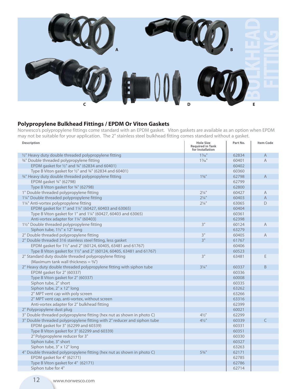

#### **Polypropylene Bulkhead Fittings / EPDM Or Viton Gaskets**

Norwesco's polypropylene fittings come standard with an EPDM gasket. Viton gaskets are available as an option when EPDM may not be suitable for your application. The 2" stainless steel bulkhead fitting comes standard without a gasket.

| <b>Description</b>                                                       | <b>Hole Size</b><br><b>Required in Tank</b> | Part No. | <b>Item Code</b> |
|--------------------------------------------------------------------------|---------------------------------------------|----------|------------------|
|                                                                          | for Installation                            |          |                  |
| 1/2" Heavy duty double threaded polypropylene fitting                    | $1\%$ "                                     | 62834    | A                |
| 3/4" Double threaded polypropylene fitting                               | $1\%$ "                                     | 60401    | $\mathsf{A}$     |
| EPDM gasket for 1/2" and 3/4" (62834 and 60401)                          |                                             | 60402    |                  |
| Type B Viton gasket for 1/2" and 3/4" (62834 and 60401)                  |                                             | 60360    |                  |
| 3/4" Heavy duty double threaded polypropylene fitting                    | $1\frac{5}{8}$ "                            | 62798    | A                |
| EPDM gasket 3/4" (62798)                                                 |                                             | 62799    |                  |
| Type B Viton gasket for 3/4" (62798)                                     |                                             | 62800    |                  |
| 1" Double threaded polypropylene fitting                                 | $2\frac{1}{4}$ "                            | 60427    | A                |
| 11/4" Double threaded polypropylene fitting                              | $2\frac{1}{4}$ "                            | 60403    | $\overline{A}$   |
| 11/4" Anti-vortex polypropylene fitting                                  | $2\frac{1}{4}$ "                            | 63065    | D                |
| EPDM gasket for 1" and 1¼" (60427, 60403 and 63065)                      |                                             | 60404    |                  |
| Type B Viton gasket for 1" and 1¼" (60427, 60403 and 63065)              |                                             | 60361    |                  |
| Anti-vortex adapter for 11/4" (60403)                                    |                                             | 62398    |                  |
| 11/2" Double threaded polypropylene fitting                              | 3"                                          | 60124    | $\overline{A}$   |
| Siphon tube, 11/2" x 12" long                                            |                                             | 63279    |                  |
| 2" Double threaded polypropylene fitting                                 | 3"                                          | 60405    | $\overline{A}$   |
| 2" Double threaded 316 stainless steel fitting, less gasket              | 3"                                          | 61767    |                  |
| EPDM gasket for 11/2" and 2" (60124, 60405, 63481 and 61767)             |                                             | 60406    |                  |
| Type B Viton gasket for 11/2" and 2" (60124, 60405, 63481 and 61767)     |                                             | 60523    |                  |
| 2" Standard duty double threaded polypropylene fitting                   | 3"                                          | 63481    | E                |
| (Maximum tank wall thickness = $\frac{3}{8}$ ")                          |                                             |          |                  |
| 2" Heavy duty double threaded polypropylene fitting with siphon tube     | $3\frac{1}{4}$ "                            | 60337    | $\sf B$          |
| EPDM gasket for 2" (60337)                                               |                                             | 60336    |                  |
| Type B Viton gasket for 2" (60337)                                       |                                             | 60008    |                  |
| Siphon tube, 2" short                                                    |                                             | 60335    |                  |
| Siphon tube, 2" x 12" long                                               |                                             | 63262    |                  |
| 2" MPT vent cap with poly screen                                         |                                             | 63266    |                  |
| 2" MPT vent cap, anti-vortex, without screen                             |                                             | 63316    |                  |
| Anti-vortex adapter for 2" bulkhead fitting                              |                                             | 62399    |                  |
| 2" Polypropylene dust plug                                               |                                             | 60021    |                  |
| 3" Double threaded polypropylene fitting (hex nut as shown in photo C)   | $4\frac{1}{2}$ "                            | 62299    |                  |
| 3" Double threaded polypropylene fitting with 2" reducer and siphon tube | $4\frac{1}{2}$ "                            | 60339    | $\subset$        |
| EPDM gasket for 3" (62299 and 60339)                                     |                                             | 60331    |                  |
| Type B Viton gasket for 3" (62299 and 60339)                             |                                             | 60351    |                  |
| 2" Polypropylene reducer for 3"                                          |                                             | 60330    |                  |
| Siphon tube, 3" short                                                    |                                             | 60327    |                  |
| Siphon tube, 3" x 12" long                                               |                                             | 63263    |                  |
| 4" Double threaded polypropylene fitting (hex nut as shown in photo C)   | $5\frac{3}{4}$ "                            | 62171    |                  |
| EPDM gasket for 4" (62171)                                               |                                             | 62785    |                  |
| Type B Viton gasket for 4" (62171)                                       |                                             | 62786    |                  |
| Siphon tube for 4"                                                       |                                             | 62714    |                  |
|                                                                          |                                             |          |                  |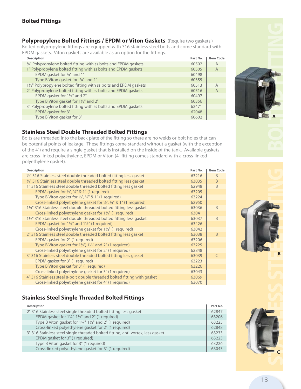#### **Bolted Fittings**

**Polypropylene Bolted Fittings / EPDM or Viton Gaskets** (Require two gaskets.) Bolted polypropylene fittings are equipped with 316 stainless steel bolts and come standard with EPDM gaskets. Viton gaskets are available as an option for the fittings.

| <b>Description</b>                                                         | Part No. | <b>Item Code</b> |
|----------------------------------------------------------------------------|----------|------------------|
| <sup>3/4</sup> Polypropylene bolted fitting with ss bolts and EPDM gaskets | 60502    | A                |
| 1" Polypropylene bolted fitting with ss bolts and EPDM gaskets             | 60505    | A                |
| EPDM gasket for 3/4" and 1"                                                | 60498    |                  |
| Type B Viton gasket for 3/4" and 1"                                        | 60355    |                  |
| 11/2" Polypropylene bolted fitting with ss bolts and EPDM gaskets          | 60513    | A                |
| 2" Polypropylene bolted fitting with ss bolts and EPDM gaskets             | 60516    | $\overline{A}$   |
| EPDM gasket for 11/2" and 2"                                               | 60497    |                  |
| Type B Viton gasket for 11/2" and 2"                                       | 60356    |                  |
| 3" Polypropylene bolted fitting with ss bolts and EPDM gaskets             | 62471    |                  |
| EPDM gasket for 3"                                                         | 62048    |                  |
| Type B Viton gasket for 3"                                                 | 60602    |                  |

#### **Stainless Steel Double Threaded Bolted Fittings**

Bolts are threaded into the back plate of the fitting so there are no welds or bolt holes that can be potential points of leakage. These fittings come standard without a gasket (with the exception of the 4") and require a single gasket that is installed on the inside of the tank. Available gaskets are cross-linked polyethylene, EPDM or Viton (4" fitting comes standard with a cross-linked polyethylene gasket).

| <b>Description</b>                                                       | Part No. | <b>Item Code</b> |
|--------------------------------------------------------------------------|----------|------------------|
| 1/2" 316 Stainless steel double threaded bolted fitting less gasket      | 63216    | <sub>B</sub>     |
| 34" 316 Stainless steel double threaded bolted fitting less gasket       | 63035    | B                |
| 1" 316 Stainless steel double threaded bolted fitting less gasket        | 62948    | <sub>R</sub>     |
| EPDM gasket for $\frac{1}{2}$ , $\frac{3}{4}$ & 1" (1 required)          | 63205    |                  |
| Type B Viton gasket for $\frac{1}{2}$ , $\frac{3}{4}$ & 1" (1 required)  | 63224    |                  |
| Cross-linked polyethylene gasket for 1/2", 3/4" & 1" (1 required)        | 62950    |                  |
| 11/4" 316 Stainless steel double threaded bolted fitting less gasket     | 63036    | <sub>B</sub>     |
| Cross-linked polyethylene gasket for 1¼" (1 required)                    | 63041    |                  |
| 11/2" 316 Stainless steel double threaded bolted fitting less gasket     | 63037    | <sub>B</sub>     |
| EPDM gasket for $1\frac{1}{4}$ " and $1\frac{1}{2}$ " (1 required)       | 63426    |                  |
| Cross-linked polyethylene gasket for 1½" (1 required)                    | 63042    |                  |
| 2" 316 Stainless steel double threaded bolted fitting less gasket        | 63038    | <sub>B</sub>     |
| EPDM gasket for 2" (1 required)                                          | 63206    |                  |
| Type B Viton gasket for 11/4", 11/2" and 2" (1 required)                 | 63225    |                  |
| Cross-linked polyethylene gasket for 2" (1 required)                     | 62848    |                  |
| 3" 316 Stainless steel double threaded bolted fitting less gasket        | 63039    |                  |
| EPDM gasket for 3" (1 required)                                          | 63223    |                  |
| Type B Viton gasket for 3" (1 required)                                  | 63226    |                  |
| Cross-linked polyethylene gasket for 3" (1 required)                     | 63043    |                  |
| 4" 316 Stainless steel 8-bolt double threaded bolted fitting with gasket | 63069    |                  |
| Cross-linked polyethylene gasket for 4" (1 required)                     | 63070    |                  |

#### **Stainless Steel Single Threaded Bolted Fittings**

| <b>Description</b>                                                              | Part No. |
|---------------------------------------------------------------------------------|----------|
| 2" 316 Stainless steel single threaded bolted fitting less gasket               | 62847    |
| EPDM gasket for $1\frac{1}{2}$ , $1\frac{1}{2}$ and 2" (1 required)             | 63206    |
| Type B Viton gasket for 1¼", 1½" and 2" (1 required)                            | 63225    |
| Cross-linked polyethylene gasket for 2" (1 required)                            | 62848    |
| 3" 316 Stainless steel single threaded bolted fitting, anti-vortex, less gasket | 63233    |
| EPDM gasket for 3" (1 required)                                                 | 63223    |
| Type B Viton gasket for 3" (1 required)                                         | 63226    |
| Cross-linked polyethylene gasket for 3" (1 required)                            | 63043    |







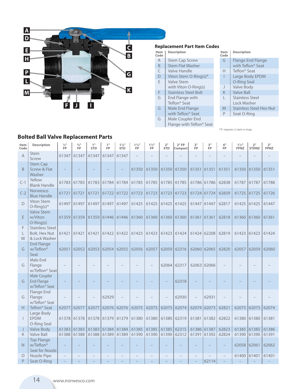

#### **Replacement Part Item Codes**

| Item<br>Code | <b>Description</b>                   | Item<br>Code | <b>Description</b>           |
|--------------|--------------------------------------|--------------|------------------------------|
| A            | <b>Stem Cap Screw</b>                | G            | <b>Flange Enc</b>            |
| B            | <b>Stem Flat Washer</b>              |              | with Teflon                  |
| C            | Valve Handle                         | Н            | Teflon <sup>®</sup> Sea      |
| D            | Viton Stem O-Ring(s)*                |              | Large Body                   |
| E            | Valve Stem                           |              | O-Ring Sea                   |
|              | with Viton O-Ring(s)                 | J            | Valve Body                   |
| F            | <b>Stainless Steel Bolt</b>          | K            | Valve Ball                   |
| G            | End Flange with                      | L            | Stainless St                 |
|              | Teflon <sup>®</sup> Seat             |              | Lock Wash                    |
| G            | Male End Flange                      | M            | Stainless St                 |
|              | with Teflon <sup>®</sup> Seat        | Ρ            | Seat O-Rin                   |
| G            | Male Coupler End                     |              |                              |
|              | Flange with Teflon <sup>®</sup> Seat |              |                              |
|              |                                      |              | *4" requires 2 stem o-rings. |

| Item<br>Code | <b>Description</b>                                        |
|--------------|-----------------------------------------------------------|
| G            | <b>Flange End Flange</b><br>with Teflon <sup>®</sup> Seat |
| Н            | Teflon <sup>®</sup> Seat                                  |
| I            | Large Body EPDM                                           |
|              | O-Ring Seal                                               |
| J            | Valve Body                                                |
| K            | Valve Ball                                                |
| L            | Stainless Steel                                           |
|              | Lock Washer                                               |
| M            | <b>Stainless Steel Hex Nut</b>                            |
| Р            | Seat O-Ring                                               |
|              |                                                           |

**Bolted Ball Valve Replacement Parts**

| Item<br>Code   | <b>Description</b>                                                     | $\frac{1}{2}$ <sup>11</sup><br><b>FP</b> | $3/4$ <sup>11</sup><br><b>FP</b> | 1"<br><b>STD</b> | 1"<br><b>FP</b> | $1\frac{1}{4}$ <sup>11</sup><br><b>STD</b> | $1\frac{1}{4}$ <sup>11</sup><br><b>FP</b> | $1\frac{1}{2}$ <sup>11</sup><br><b>FP</b> | 2 <sup>11</sup><br><b>STD</b> | 2"FP<br>Compact | 2 <sup>11</sup><br><b>FP</b> | 3"<br>FP    | 4"<br><b>FP</b> | $1\frac{1}{2}$ <sup>11</sup><br><b>FPNZ</b> | 2 <sup>0</sup><br><b>STDNZ</b> | 2 <sup>11</sup><br><b>FPNZ</b> |
|----------------|------------------------------------------------------------------------|------------------------------------------|----------------------------------|------------------|-----------------|--------------------------------------------|-------------------------------------------|-------------------------------------------|-------------------------------|-----------------|------------------------------|-------------|-----------------|---------------------------------------------|--------------------------------|--------------------------------|
| $\overline{A}$ | <b>Stem</b><br>Screw                                                   | 61347                                    | 61347                            | 61347            | 61347           | 61347                                      |                                           |                                           |                               |                 |                              |             |                 |                                             |                                |                                |
| B              | <b>Stem Cap</b><br>Screw & Flat<br>Washer                              |                                          |                                  |                  |                 |                                            | 61350                                     | 61350                                     | 61350                         | 61350           | 61351                        | 61351       | 61351           | 61350                                       | 61350                          | 61351                          |
| $C-1$          | Yellow<br><b>Blank Handle</b>                                          | 61783                                    | 61783                            | 61783            | 61784           | 61784                                      | 61785                                     | 61785                                     | 61785                         | 61785           |                              | 61786 61786 | 62838           | 61787                                       | 61787                          | 61788                          |
| $C-2$          | Norwesco<br><b>Blue Handle</b>                                         | 61721                                    | 61721                            | 61721            | 61722           | 61722                                      | 61723                                     | 61723                                     | 61723                         | 61723           | 61724 61724                  |             | 62839           | 61725                                       | 61725                          | 61726                          |
| D              | <b>Viton Stem</b><br>$O-Ring(s)^*$                                     | 61497                                    | 61497                            | 61497            | 61497           | 61497                                      | 61425                                     | 61425                                     | 61425                         | 61425           | 61447                        | 61447       | 62817           | 61425                                       | 61425                          | 61447                          |
| E              | <b>Valve Stem</b><br>w/Viton<br>$O-Rina(s)$                            | 61359                                    | 61359                            | 61359            | 61446           | 61446                                      | 61360                                     | 61360                                     | 61360                         | 61360           | 61361 61361                  |             | 62818           | 61360                                       | 61360                          | 61361                          |
| F<br>L<br>M    | <b>Stainless Steel</b><br>Bolt, Hex Nut<br>& Lock Washer               | 61421                                    | 61421                            | 61421            | 61422           | 61422                                      | 61423                                     | 61423                                     | 61423                         | 61424           | 61424                        | 62208       | 62819           | 61423                                       | 61423                          | 61424                          |
| G              | <b>End Flange</b><br>w/Teflon <sup>®</sup><br>Seat                     | 62051                                    | 62052                            | 62053            | 62054           | 62055                                      | 62056                                     | 62057                                     | 62059                         | 62316           | 62060 62065                  |             | 62820           | 62057                                       | 62059                          | 62060                          |
| G              | Male End<br>Flange<br>w/Teflon <sup>®</sup> Seat                       |                                          |                                  |                  |                 |                                            |                                           |                                           | 62064                         | 62317           | 62063 62066                  |             |                 |                                             |                                |                                |
| G              | <b>Male Coupler</b><br><b>End Flange</b><br>w/Teflon <sup>®</sup> Seat |                                          |                                  |                  |                 |                                            |                                           |                                           |                               | 62318           |                              |             |                 |                                             |                                |                                |
| G              | Flange End<br>Flange<br>w/Teflon <sup>®</sup> Seat                     |                                          |                                  |                  | 62929           |                                            |                                           |                                           |                               | 62930           |                              | 62931       |                 |                                             |                                |                                |
| H              | Teflon <sup>®</sup> Seat                                               | 62077                                    | 62077                            | 62077            | 62076           | 62076                                      | 62075                                     | 62075                                     | 62075                         | 62074           | 62074 62073                  |             | 62821           | 62075                                       | 62075                          | 62074                          |
| $\mathbf{I}$   | Large Body<br><b>EPDM</b><br>O-Ring Seal                               | 61378                                    | 61378                            | 61378            | 61379           | 61379                                      | 61380                                     | 61380                                     | 61380                         | 62319           | 61381                        | 61382       | 62822           | 61380                                       | 61380                          | 61381                          |
| J              | <b>Valve Body</b>                                                      | 61383                                    | 61383                            | 61383            | 61384           | 61384                                      | 61385                                     | 61385                                     | 61385                         | 62315           | 61386                        | 61387       | 62823           | 61385                                       | 61385                          | 61386                          |
| K              | <b>Valve Ball</b>                                                      | 61388                                    | 61388                            | 61388            | 61389           | 61389                                      | 61390                                     | 61390                                     | 61390                         | 62312           | 61391                        | 61392       | 62824           | 61390                                       | 61390                          | 61391                          |
| N              | <b>Top Flange</b><br>w/Teflon <sup>®</sup><br>Seat for Nozzle          |                                          |                                  |                  |                 |                                            |                                           |                                           |                               |                 |                              |             |                 | 62058                                       | 62061                          | 62062                          |
| $\circ$        | Nozzle Pipe                                                            |                                          |                                  |                  |                 |                                            |                                           |                                           |                               |                 |                              |             |                 | 61400                                       | 61401                          | 61401                          |
| P              | Seat O-Ring                                                            |                                          |                                  |                  |                 |                                            |                                           |                                           |                               |                 |                              | 62114       |                 |                                             |                                |                                |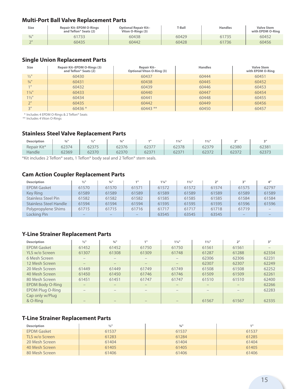#### **Multi-Port Ball Valve Replacement Parts**

| Size            | <b>Repair Kit-EPDM O-Rings</b><br>and Teflon® Seats (2) | <b>Optional Repair Kit-</b><br>Viton O-Rings (3) | T-Ball | <b>Handles</b> | <b>Valve Stem</b><br>with EPDM O-Ring |
|-----------------|---------------------------------------------------------|--------------------------------------------------|--------|----------------|---------------------------------------|
| $\frac{3}{4}$ " | 61733                                                   | 60438                                            | 60429  | 61735          | 60452                                 |
| $\bigcap$       | 60435                                                   | 60442                                            | 60428  | 61736          | 60456                                 |

#### **Single Union Replacement Parts**

| <b>Size</b>         | <b>Repair Kit-EPDM O-Rings (3)</b><br>and Teflon <sup>®</sup> Seats $(2)$ | Repair Kit-<br><b>Optional Viton O-Ring (3)</b> | <b>Handles</b> | <b>Valve Stem</b><br>with EPDM O-Ring |
|---------------------|---------------------------------------------------------------------------|-------------------------------------------------|----------------|---------------------------------------|
| $\frac{1}{2}$ "     | 60430                                                                     | 60437                                           | 60444          | 60451                                 |
| $3/4$ <sup>11</sup> | 60431                                                                     | 60438                                           | 60445          | 60452                                 |
| $1$ II              | 60432                                                                     | 60439                                           | 60446          | 60453                                 |
| $1\frac{1}{4}$      | 60433                                                                     | 60440                                           | 60447          | 60454                                 |
| $1\frac{1}{2}$ "    | 60434                                                                     | 60441                                           | 60448          | 60455                                 |
| 2"                  | 60435                                                                     | 60442                                           | 60449          | 60456                                 |
| 2 <sub>II</sub>     | $60436*$                                                                  | $60443$ **                                      | 60450          | 60457                                 |

\* Includes 4 EPDM O-Rings & 2 Teflon® Seats

\*\* Includes 4 Viton O-Rings

#### **Stainless Steel Valve Replacement Parts**

| <b>Description</b> | $3/6$ <sup>II</sup> | $1/2$ <sup>11</sup> | $\frac{3}{4}$ | 4 H  | $1\frac{1}{4}$ | $1\frac{1}{2}$ " | 21    | $\mathbb{R}^n$ |
|--------------------|---------------------|---------------------|---------------|------|----------------|------------------|-------|----------------|
| Repair Kit*        | 62374               | 62375               | 62376         | 6237 | 62378          | 62379            | 62380 | 62381          |
| Handle             | 62369               | 62370               | 62370         | 6237 | 023.           | 623              | 623.  | 62373          |

\*Kit includes 2 Teflon® seats, 1 Teflon® body seal and 2 Teflon® stem seals.

#### **Cam Action Coupler Replacement Parts**

| <b>Description</b>            | $\frac{1}{2}$ <sup>11</sup> | $3/4$ <sup>11</sup> |                          | $1\frac{1}{4}$ " | $1\frac{1}{2}$ " | 2"    | з"                       | 4"    |
|-------------------------------|-----------------------------|---------------------|--------------------------|------------------|------------------|-------|--------------------------|-------|
| <b>EPDM Gasket</b>            | 61570                       | 61570               | 61571                    | 61572            | 61572            | 61574 | 61575                    | 62797 |
| Key Ring                      | 61589                       | 61589               | 61589                    | 61589            | 61589            | 61589 | 61589                    | 61589 |
| <b>Stainless Steel Pin</b>    | 61582                       | 61582               | 61582                    | 61585            | 61585            | 61585 | 61584                    | 61584 |
| <b>Stainless Steel Handle</b> | 61594                       | 61594               | 61594                    | 61595            | 61595            | 61595 | 61596                    | 61596 |
| Polypropylene Shims           | 61715                       | 61715               | 61716                    | 61717            | 61717            | 61718 | 61719                    |       |
| Locking Pin                   | $\overline{\phantom{a}}$    |                     | $\overline{\phantom{a}}$ | 63545            | 63545            | 63545 | $\overline{\phantom{a}}$ |       |

#### **Y-Line Strainer Replacement Parts**

| <b>Description</b>          | $\frac{1}{2}$ <sup>11</sup> | $3/4$ <sup>11</sup>      | 4 H                      | $1\frac{1}{4}$ <sup>11</sup> | $1\frac{1}{2}$           | 2 <sup>11</sup> | 3"    |
|-----------------------------|-----------------------------|--------------------------|--------------------------|------------------------------|--------------------------|-----------------|-------|
| <b>EPDM Gasket</b>          | 61452                       | 61452                    | 61750                    | 61750                        | 61561                    | 61561           |       |
| YLS w/o Screen              | 61307                       | 61308                    | 61309                    | 61748                        | 61287                    | 61288           | 62334 |
| 6 Mesh Screen               | $\overline{\phantom{a}}$    | $\overline{\phantom{a}}$ | $\overline{\phantom{a}}$ | $\overline{\phantom{a}}$     | 62306                    | 62306           | 62231 |
| 12 Mesh Screen              | $\overline{\phantom{a}}$    | $\qquad \qquad -$        | $-$                      | $\qquad \qquad -$            | 62307                    | 62307           | 62249 |
| 20 Mesh Screen              | 61449                       | 61449                    | 61749                    | 61749                        | 61508                    | 61508           | 62252 |
| 40 Mesh Screen              | 61450                       | 61450                    | 61746                    | 61746                        | 61509                    | 61509           | 62261 |
| 80 Mesh Screen              | 61451                       | 61451                    | 61747                    | 61747                        | 61510                    | 61510           | 62400 |
| <b>EPDM Body O-Ring</b>     | $\overline{\phantom{a}}$    | $\overline{\phantom{a}}$ |                          | $-$                          | $-$                      |                 | 62266 |
| EPDM Plug O-Ring            | $\overline{\phantom{a}}$    | $\overline{\phantom{a}}$ |                          | $\overline{\phantom{0}}$     | $\overline{\phantom{a}}$ |                 | 62283 |
| Cap only w/Plug<br>& O-Ring |                             |                          |                          |                              | 61567                    | 61567           | 62335 |

#### **T-Line Strainer Replacement Parts**

| <b>Description</b> | $\frac{1}{2}$ <sup>11</sup> | $3/4$ <sup>11</sup> | 411   |
|--------------------|-----------------------------|---------------------|-------|
| <b>EPDM Gasket</b> | 61537                       | 61537               | 61537 |
| TLS w/o Screen     | 61283                       | 61284               | 61285 |
| 20 Mesh Screen     | 61404                       | 61404               | 61404 |
| 40 Mesh Screen     | 61405                       | 61405               | 61405 |
| 80 Mesh Screen     | 61406                       | 61406               | 61406 |